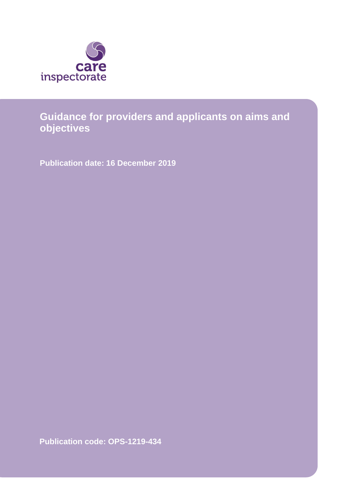

# **Guidance for providers and applicants on aims and objectives**

**Publication date: 16 December 2019**

**Publication code: OPS-1219-434**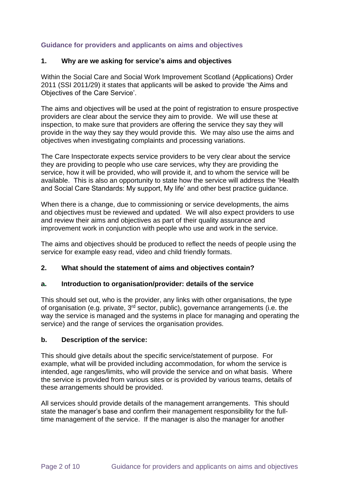# **Guidance for providers and applicants on aims and objectives**

# **1. Why are we asking for service's aims and objectives**

Within the Social Care and Social Work Improvement Scotland (Applications) Order 2011 (SSI 2011/29) it states that applicants will be asked to provide 'the Aims and Objectives of the Care Service'.

The aims and objectives will be used at the point of registration to ensure prospective providers are clear about the service they aim to provide. We will use these at inspection, to make sure that providers are offering the service they say they will provide in the way they say they would provide this. We may also use the aims and objectives when investigating complaints and processing variations.

The Care Inspectorate expects service providers to be very clear about the service they are providing to people who use care services, why they are providing the service, how it will be provided, who will provide it, and to whom the service will be available. This is also an opportunity to state how the service will address the 'Health and Social Care Standards: My support, My life' and other best practice guidance.

When there is a change, due to commissioning or service developments, the aims and objectives must be reviewed and updated. We will also expect providers to use and review their aims and objectives as part of their quality assurance and improvement work in conjunction with people who use and work in the service.

The aims and objectives should be produced to reflect the needs of people using the service for example easy read, video and child friendly formats.

# **2. What should the statement of aims and objectives contain?**

# **a. Introduction to organisation/provider: details of the service**

This should set out, who is the provider, any links with other organisations, the type of organisation (e.g. private,  $3<sup>rd</sup>$  sector, public), governance arrangements (i.e. the way the service is managed and the systems in place for managing and operating the service) and the range of services the organisation provides.

#### **b. Description of the service:**

This should give details about the specific service/statement of purpose. For example, what will be provided including accommodation, for whom the service is intended, age ranges/limits, who will provide the service and on what basis. Where the service is provided from various sites or is provided by various teams, details of these arrangements should be provided.

All services should provide details of the management arrangements. This should state the manager's base and confirm their management responsibility for the fulltime management of the service. If the manager is also the manager for another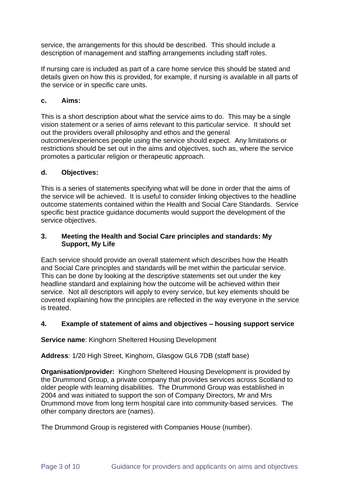service, the arrangements for this should be described. This should include a description of management and staffing arrangements including staff roles.

If nursing care is included as part of a care home service this should be stated and details given on how this is provided, for example, if nursing is available in all parts of the service or in specific care units.

# **c. Aims:**

This is a short description about what the service aims to do. This may be a single vision statement or a series of aims relevant to this particular service. It should set out the providers overall philosophy and ethos and the general outcomes/experiences people using the service should expect. Any limitations or restrictions should be set out in the aims and objectives, such as, where the service promotes a particular religion or therapeutic approach.

# **d. Objectives:**

This is a series of statements specifying what will be done in order that the aims of the service will be achieved. It is useful to consider linking objectives to the headline outcome statements contained within the Health and Social Care Standards. Service specific best practice guidance documents would support the development of the service objectives.

# **3. Meeting the Health and Social Care principles and standards: My Support, My Life**

Each service should provide an overall statement which describes how the Health and Social Care principles and standards will be met within the particular service. This can be done by looking at the descriptive statements set out under the key headline standard and explaining how the outcome will be achieved within their service. Not all descriptors will apply to every service, but key elements should be covered explaining how the principles are reflected in the way everyone in the service is treated.

# **4. Example of statement of aims and objectives – housing support service**

**Service name**: Kinghorn Sheltered Housing Development

**Address**: 1/20 High Street, Kinghorn, Glasgow GL6 7DB (staff base)

**Organisation/provider:** Kinghorn Sheltered Housing Development is provided by the Drummond Group, a private company that provides services across Scotland to older people with learning disabilities. The Drummond Group was established in 2004 and was initiated to support the son of Company Directors, Mr and Mrs Drummond move from long term hospital care into community-based services. The other company directors are (names).

The Drummond Group is registered with Companies House (number).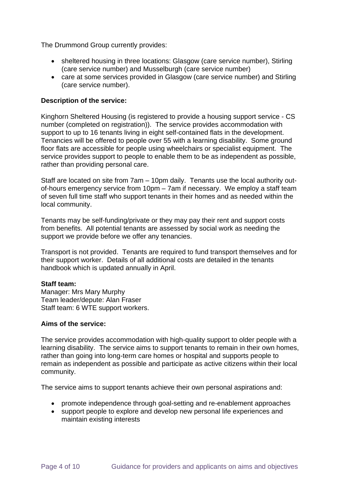The Drummond Group currently provides:

- sheltered housing in three locations: Glasgow (care service number), Stirling (care service number) and Musselburgh (care service number)
- care at some services provided in Glasgow (care service number) and Stirling (care service number).

## **Description of the service:**

Kinghorn Sheltered Housing (is registered to provide a housing support service - CS number (completed on registration)). The service provides accommodation with support to up to 16 tenants living in eight self-contained flats in the development. Tenancies will be offered to people over 55 with a learning disability. Some ground floor flats are accessible for people using wheelchairs or specialist equipment. The service provides support to people to enable them to be as independent as possible, rather than providing personal care.

Staff are located on site from 7am – 10pm daily. Tenants use the local authority outof-hours emergency service from 10pm – 7am if necessary. We employ a staff team of seven full time staff who support tenants in their homes and as needed within the local community.

Tenants may be self-funding/private or they may pay their rent and support costs from benefits. All potential tenants are assessed by social work as needing the support we provide before we offer any tenancies.

Transport is not provided. Tenants are required to fund transport themselves and for their support worker. Details of all additional costs are detailed in the tenants handbook which is updated annually in April.

#### **Staff team:**

Manager: Mrs Mary Murphy Team leader/depute: Alan Fraser Staff team: 6 WTE support workers.

#### **Aims of the service:**

The service provides accommodation with high-quality support to older people with a learning disability. The service aims to support tenants to remain in their own homes, rather than going into long-term care homes or hospital and supports people to remain as independent as possible and participate as active citizens within their local community.

The service aims to support tenants achieve their own personal aspirations and:

- promote independence through goal-setting and re-enablement approaches
- support people to explore and develop new personal life experiences and maintain existing interests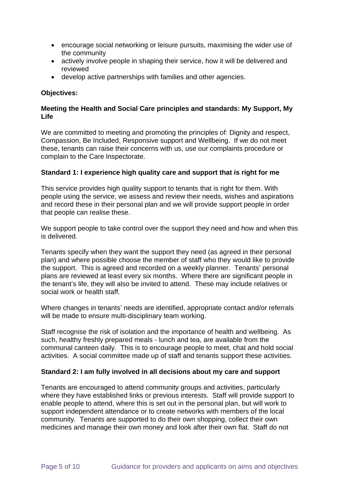- encourage social networking or leisure pursuits, maximising the wider use of the community
- actively involve people in shaping their service, how it will be delivered and reviewed
- develop active partnerships with families and other agencies.

# **Objectives:**

# **Meeting the Health and Social Care principles and standards: My Support, My Life**

We are committed to meeting and promoting the principles of: Dignity and respect, Compassion, Be Included, Responsive support and Wellbeing. If we do not meet these, tenants can raise their concerns with us, use our complaints procedure or complain to the Care Inspectorate.

## **Standard 1: I experience high quality care and support that is right for me**

This service provides high quality support to tenants that is right for them. With people using the service, we assess and review their needs, wishes and aspirations and record these in their personal plan and we will provide support people in order that people can realise these.

We support people to take control over the support they need and how and when this is delivered.

Tenants specify when they want the support they need (as agreed in their personal plan) and where possible choose the member of staff who they would like to provide the support. This is agreed and recorded on a weekly planner. Tenants' personal plans are reviewed at least every six months. Where there are significant people in the tenant's life, they will also be invited to attend. These may include relatives or social work or health staff.

Where changes in tenants' needs are identified, appropriate contact and/or referrals will be made to ensure multi-disciplinary team working.

Staff recognise the risk of isolation and the importance of health and wellbeing. As such, healthy freshly prepared meals - lunch and tea, are available from the communal canteen daily. This is to encourage people to meet, chat and hold social activities. A social committee made up of staff and tenants support these activities.

# **Standard 2: I am fully involved in all decisions about my care and support**

Tenants are encouraged to attend community groups and activities, particularly where they have established links or previous interests. Staff will provide support to enable people to attend, where this is set out in the personal plan, but will work to support independent attendance or to create networks with members of the local community. Tenants are supported to do their own shopping, collect their own medicines and manage their own money and look after their own flat. Staff do not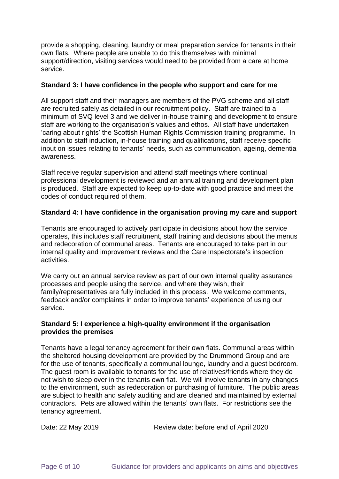provide a shopping, cleaning, laundry or meal preparation service for tenants in their own flats. Where people are unable to do this themselves with minimal support/direction, visiting services would need to be provided from a care at home service.

#### **Standard 3: I have confidence in the people who support and care for me**

All support staff and their managers are members of the PVG scheme and all staff are recruited safely as detailed in our recruitment policy. Staff are trained to a minimum of SVQ level 3 and we deliver in-house training and development to ensure staff are working to the organisation's values and ethos. All staff have undertaken 'caring about rights' the Scottish Human Rights Commission training programme. In addition to staff induction, in-house training and qualifications, staff receive specific input on issues relating to tenants' needs, such as communication, ageing, dementia awareness.

Staff receive regular supervision and attend staff meetings where continual professional development is reviewed and an annual training and development plan is produced. Staff are expected to keep up-to-date with good practice and meet the codes of conduct required of them.

#### **Standard 4: I have confidence in the organisation proving my care and support**

Tenants are encouraged to actively participate in decisions about how the service operates, this includes staff recruitment, staff training and decisions about the menus and redecoration of communal areas. Tenants are encouraged to take part in our internal quality and improvement reviews and the Care Inspectorate's inspection activities.

We carry out an annual service review as part of our own internal quality assurance processes and people using the service, and where they wish, their family/representatives are fully included in this process. We welcome comments, feedback and/or complaints in order to improve tenants' experience of using our service.

#### **Standard 5: I experience a high-quality environment if the organisation provides the premises**

Tenants have a legal tenancy agreement for their own flats. Communal areas within the sheltered housing development are provided by the Drummond Group and are for the use of tenants, specifically a communal lounge, laundry and a guest bedroom. The guest room is available to tenants for the use of relatives/friends where they do not wish to sleep over in the tenants own flat. We will involve tenants in any changes to the environment, such as redecoration or purchasing of furniture. The public areas are subject to health and safety auditing and are cleaned and maintained by external contractors. Pets are allowed within the tenants' own flats. For restrictions see the tenancy agreement.

Date: 22 May 2019 Review date: before end of April 2020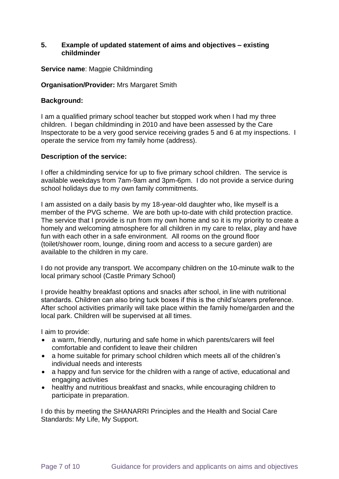#### **5. Example of updated statement of aims and objectives – existing childminder**

#### **Service name**: Magpie Childminding

#### **Organisation/Provider:** Mrs Margaret Smith

#### **Background:**

I am a qualified primary school teacher but stopped work when I had my three children. I began childminding in 2010 and have been assessed by the Care Inspectorate to be a very good service receiving grades 5 and 6 at my inspections. I operate the service from my family home (address).

#### **Description of the service:**

I offer a childminding service for up to five primary school children. The service is available weekdays from 7am-9am and 3pm-6pm. I do not provide a service during school holidays due to my own family commitments.

I am assisted on a daily basis by my 18-year-old daughter who, like myself is a member of the PVG scheme. We are both up-to-date with child protection practice. The service that I provide is run from my own home and so it is my priority to create a homely and welcoming atmosphere for all children in my care to relax, play and have fun with each other in a safe environment. All rooms on the ground floor (toilet/shower room, lounge, dining room and access to a secure garden) are available to the children in my care.

I do not provide any transport. We accompany children on the 10-minute walk to the local primary school (Castle Primary School)

I provide healthy breakfast options and snacks after school, in line with nutritional standards. Children can also bring tuck boxes if this is the child's/carers preference. After school activities primarily will take place within the family home/garden and the local park. Children will be supervised at all times.

I aim to provide:

- a warm, friendly, nurturing and safe home in which parents/carers will feel comfortable and confident to leave their children
- a home suitable for primary school children which meets all of the children's individual needs and interests
- a happy and fun service for the children with a range of active, educational and engaging activities
- healthy and nutritious breakfast and snacks, while encouraging children to participate in preparation.

I do this by meeting the SHANARRI Principles and the Health and Social Care Standards: My Life, My Support.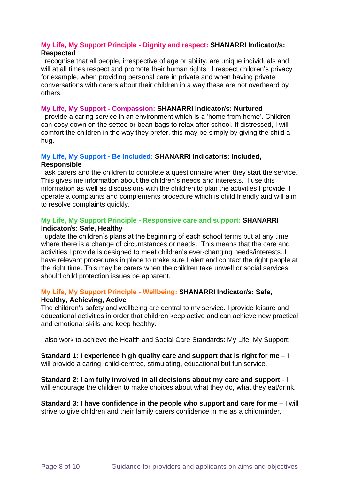## **My Life, My Support Principle - Dignity and respect: SHANARRI Indicator/s: Respected**

I recognise that all people, irrespective of age or ability, are unique individuals and will at all times respect and promote their human rights. I respect children's privacy for example, when providing personal care in private and when having private conversations with carers about their children in a way these are not overheard by others.

#### **My Life, My Support - Compassion: SHANARRI Indicator/s: Nurtured**

I provide a caring service in an environment which is a 'home from home'. Children can cosy down on the settee or bean bags to relax after school. If distressed, I will comfort the children in the way they prefer, this may be simply by giving the child a hug.

#### **My Life, My Support - Be Included: SHANARRI Indicator/s: Included, Responsible**

I ask carers and the children to complete a questionnaire when they start the service. This gives me information about the children's needs and interests. I use this information as well as discussions with the children to plan the activities I provide. I operate a complaints and complements procedure which is child friendly and will aim to resolve complaints quickly.

#### **My Life, My Support Principle - Responsive care and support: SHANARRI Indicator/s: Safe, Healthy**

I update the children's plans at the beginning of each school terms but at any time where there is a change of circumstances or needs. This means that the care and activities I provide is designed to meet children's ever-changing needs/interests. I have relevant procedures in place to make sure I alert and contact the right people at the right time. This may be carers when the children take unwell or social services should child protection issues be apparent.

# **My Life, My Support Principle - Wellbeing: SHANARRI Indicator/s: Safe,**

#### **Healthy, Achieving, Active**

The children's safety and wellbeing are central to my service. I provide leisure and educational activities in order that children keep active and can achieve new practical and emotional skills and keep healthy.

I also work to achieve the Health and Social Care Standards: My Life, My Support:

**Standard 1: I experience high quality care and support that is right for me** – I will provide a caring, child-centred, stimulating, educational but fun service.

**Standard 2: I am fully involved in all decisions about my care and support** - I will encourage the children to make choices about what they do, what they eat/drink.

**Standard 3: I have confidence in the people who support and care for me – I will** strive to give children and their family carers confidence in me as a childminder.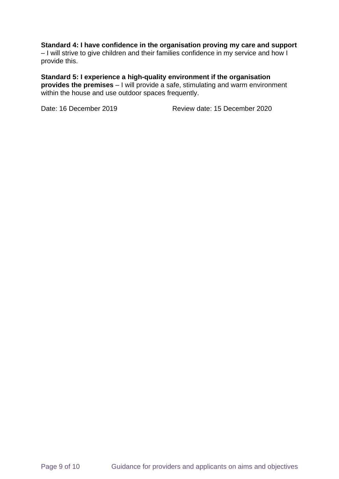# **Standard 4: I have confidence in the organisation proving my care and support**

– I will strive to give children and their families confidence in my service and how I provide this.

**Standard 5: I experience a high-quality environment if the organisation provides the premises** – I will provide a safe, stimulating and warm environment within the house and use outdoor spaces frequently.

Date: 16 December 2019 Review date: 15 December 2020